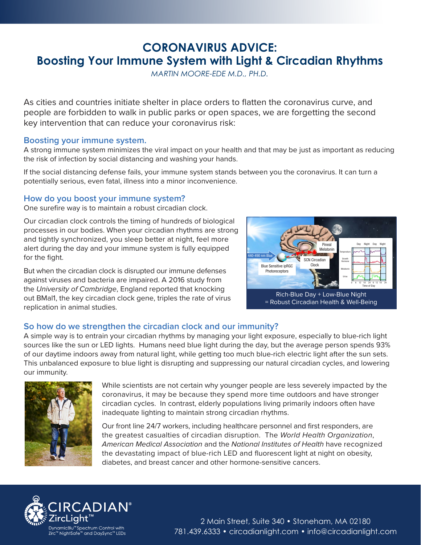## **CORONAVIRUS ADVICE: Boosting Your Immune System with Light & Circadian Rhythms**

*MARTIN MOORE-EDE M.D., PH.D.*

As cities and countries initiate shelter in place orders to flatten the coronavirus curve, and people are forbidden to walk in public parks or open spaces, we are forgetting the second key intervention that can reduce your coronavirus risk:

## **Boosting your immune system.**

A strong immune system minimizes the viral impact on your health and that may be just as important as reducing the risk of infection by social distancing and washing your hands.

If the social distancing defense fails, your immune system stands between you the coronavirus. It can turn a potentially serious, even fatal, illness into a minor inconvenience.

## **How do you boost your immune system?**

One surefire way is to maintain a robust circadian clock.

Our circadian clock controls the timing of hundreds of biological processes in our bodies. When your circadian rhythms are strong and tightly synchronized, you sleep better at night, feel more alert during the day and your immune system is fully equipped for the fight.

But when the circadian clock is disrupted our immune defenses against viruses and bacteria are impaired. A 2016 study from the University of Cambridge, England reported that knocking out BMal1, the key circadian clock gene, triples the rate of virus replication in animal studies.



= Robust Circadian Health & Well-Being

## **So how do we strengthen the circadian clock and our immunity?**

A simple way is to entrain your circadian rhythms by managing your light exposure, especially to blue-rich light sources like the sun or LED lights. Humans need blue light during the day, but the average person spends 93% of our daytime indoors away from natural light, while getting too much blue-rich electric light after the sun sets. This unbalanced exposure to blue light is disrupting and suppressing our natural circadian cycles, and lowering our immunity.



While scientists are not certain why younger people are less severely impacted by the coronavirus, it may be because they spend more time outdoors and have stronger circadian cycles. In contrast, elderly populations living primarily indoors often have inadequate lighting to maintain strong circadian rhythms.

Our front line 24/7 workers, including healthcare personnel and first responders, are the greatest casualties of circadian disruption. The World Health Organization, American Medical Association and the National Institutes of Health have recognized the devastating impact of blue-rich LED and fluorescent light at night on obesity, diabetes, and breast cancer and other hormone-sensitive cancers.



2 Main Street, Suite 340 • Stoneham, MA 02180 781.439.6333 • [circadianlight.com](www.circadianlight.com) • [info@circadianlight.com](mailto:info@circadianlight.com)